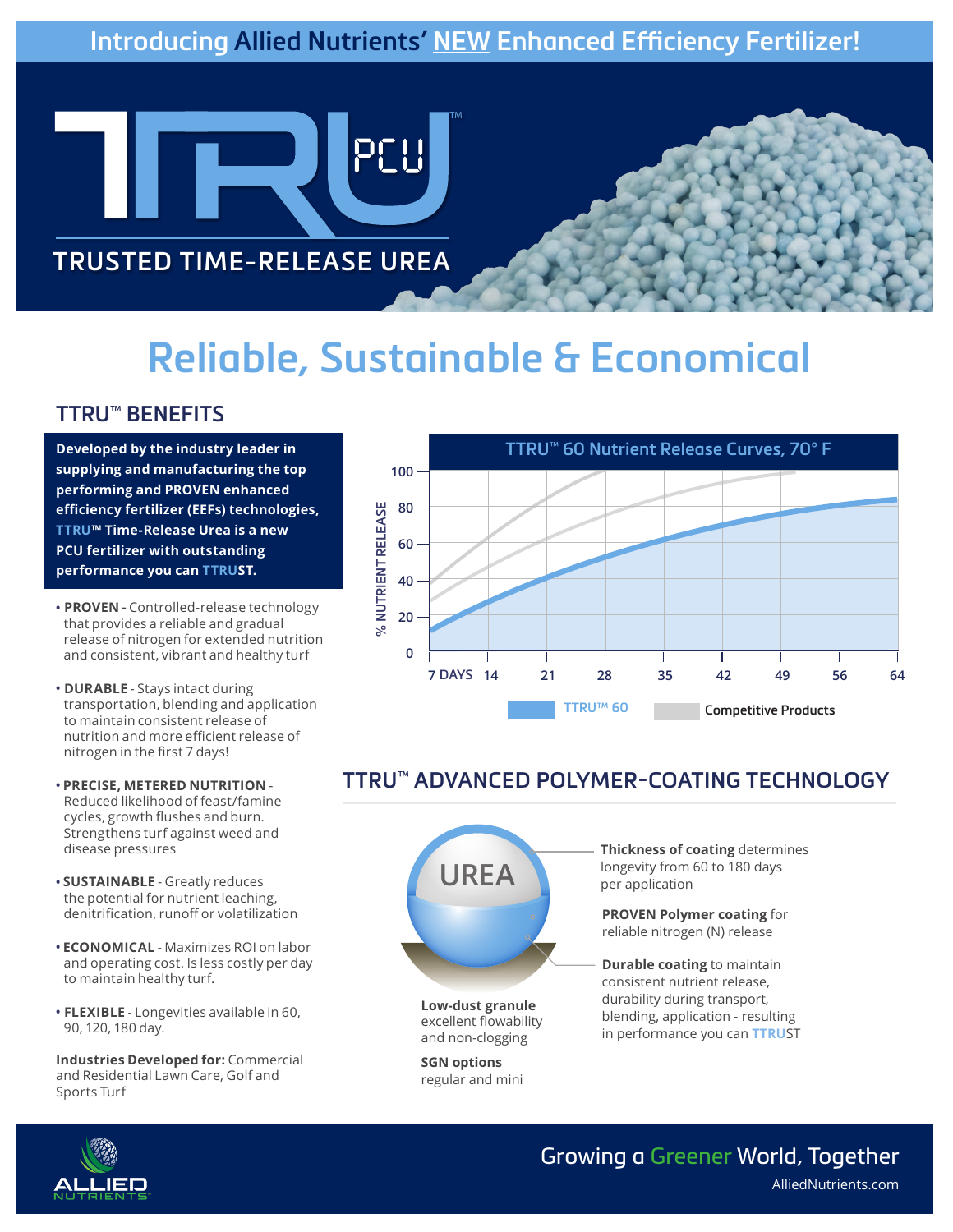# **Introducing Allied Nutrients' NEW Enhanced Efficiency Fertilizer!**



**TRUSTED TIME-RELEASE UREA**

# **Reliable, Sustainable & Economical**

## **TTRU™ BENEFITS**

**Developed by the industry leader in supplying and manufacturing the top performing and PROVEN enhanced efficiency fertilizer (EEFs) technologies, TTRU™ Time-Release Urea is a new PCU fertilizer with outstanding performance you can TTRUST.** 

- **• PROVEN** Controlled-release technology that provides a reliable and gradual release of nitrogen for extended nutrition and consistent, vibrant and healthy turf
- **• DURABLE** Stays intact during transportation, blending and application to maintain consistent release of nutrition and more efficient release of nitrogen in the first 7 days!
- **• PRECISE, METERED NUTRITION** Reduced likelihood of feast/famine cycles, growth flushes and burn. Strengthens turf against weed and disease pressures
- **• SUSTAINABLE** Greatly reduces the potential for nutrient leaching, denitrification, runoff or volatilization
- **• ECONOMICAL** Maximizes ROI on labor and operating cost. Is less costly per day to maintain healthy turf.
- **• FLEXIBLE** Longevities available in 60, 90, 120, 180 day.

**Industries Developed for:** Commercial and Residential Lawn Care, Golf and Sports Turf



# **TTRU™ ADVANCED POLYMER-COATING TECHNOLOGY**



**Low-dust granule** excellent flowability and non-clogging

**SGN options**  regular and mini **Thickness of coating** determines longevity from 60 to 180 days per application

**PROVEN Polymer coating** for reliable nitrogen (N) release

**Durable coating** to maintain consistent nutrient release, durability during transport, blending, application - resulting in performance you can **TTRU**ST



#### Growing a Greener World, Together AlliedNutrients.com